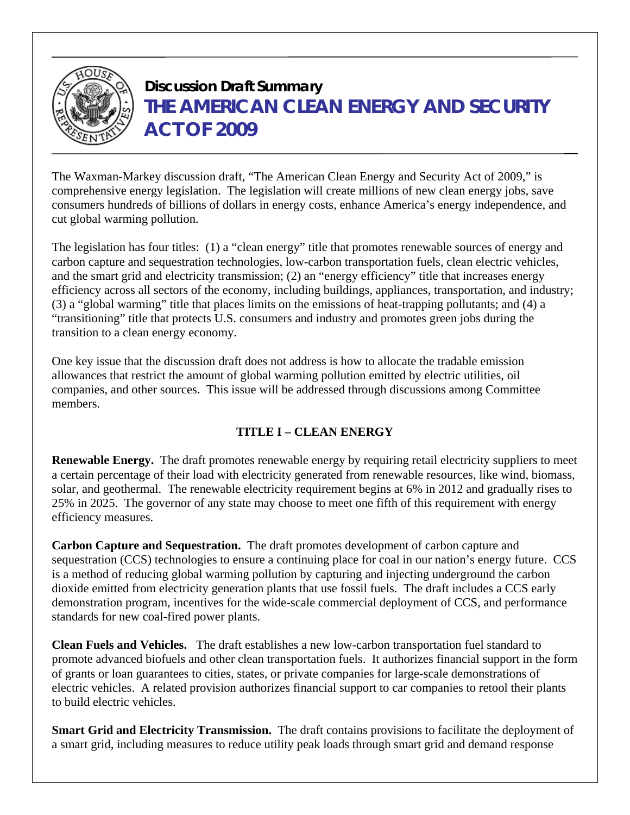

# **Discussion Draft Summary THE AMERICAN CLEAN ENERGY AND SECURITY ACT OF 2009**

The Waxman-Markey discussion draft, "The American Clean Energy and Security Act of 2009," is comprehensive energy legislation. The legislation will create millions of new clean energy jobs, save consumers hundreds of billions of dollars in energy costs, enhance America's energy independence, and cut global warming pollution.

The legislation has four titles: (1) a "clean energy" title that promotes renewable sources of energy and carbon capture and sequestration technologies, low-carbon transportation fuels, clean electric vehicles, and the smart grid and electricity transmission; (2) an "energy efficiency" title that increases energy efficiency across all sectors of the economy, including buildings, appliances, transportation, and industry; (3) a "global warming" title that places limits on the emissions of heat-trapping pollutants; and (4) a "transitioning" title that protects U.S. consumers and industry and promotes green jobs during the transition to a clean energy economy.

One key issue that the discussion draft does not address is how to allocate the tradable emission allowances that restrict the amount of global warming pollution emitted by electric utilities, oil companies, and other sources. This issue will be addressed through discussions among Committee members.

#### **TITLE I – CLEAN ENERGY**

**Renewable Energy.** The draft promotes renewable energy by requiring retail electricity suppliers to meet a certain percentage of their load with electricity generated from renewable resources, like wind, biomass, solar, and geothermal. The renewable electricity requirement begins at 6% in 2012 and gradually rises to 25% in 2025. The governor of any state may choose to meet one fifth of this requirement with energy efficiency measures.

**Carbon Capture and Sequestration.** The draft promotes development of carbon capture and sequestration (CCS) technologies to ensure a continuing place for coal in our nation's energy future. CCS is a method of reducing global warming pollution by capturing and injecting underground the carbon dioxide emitted from electricity generation plants that use fossil fuels. The draft includes a CCS early demonstration program, incentives for the wide-scale commercial deployment of CCS, and performance standards for new coal-fired power plants.

**Clean Fuels and Vehicles.** The draft establishes a new low-carbon transportation fuel standard to promote advanced biofuels and other clean transportation fuels. It authorizes financial support in the form of grants or loan guarantees to cities, states, or private companies for large-scale demonstrations of electric vehicles. A related provision authorizes financial support to car companies to retool their plants to build electric vehicles.

**Smart Grid and Electricity Transmission.** The draft contains provisions to facilitate the deployment of a smart grid, including measures to reduce utility peak loads through smart grid and demand response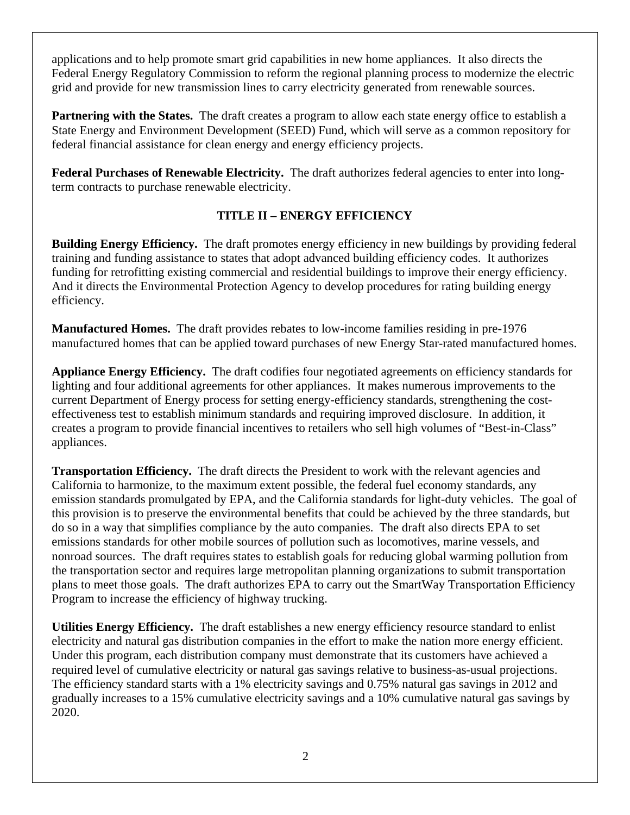applications and to help promote smart grid capabilities in new home appliances. It also directs the Federal Energy Regulatory Commission to reform the regional planning process to modernize the electric grid and provide for new transmission lines to carry electricity generated from renewable sources.

**Partnering with the States.** The draft creates a program to allow each state energy office to establish a State Energy and Environment Development (SEED) Fund, which will serve as a common repository for federal financial assistance for clean energy and energy efficiency projects.

**Federal Purchases of Renewable Electricity.** The draft authorizes federal agencies to enter into longterm contracts to purchase renewable electricity.

## **TITLE II – ENERGY EFFICIENCY**

**Building Energy Efficiency.** The draft promotes energy efficiency in new buildings by providing federal training and funding assistance to states that adopt advanced building efficiency codes. It authorizes funding for retrofitting existing commercial and residential buildings to improve their energy efficiency. And it directs the Environmental Protection Agency to develop procedures for rating building energy efficiency.

**Manufactured Homes.** The draft provides rebates to low-income families residing in pre-1976 manufactured homes that can be applied toward purchases of new Energy Star-rated manufactured homes.

**Appliance Energy Efficiency.** The draft codifies four negotiated agreements on efficiency standards for lighting and four additional agreements for other appliances. It makes numerous improvements to the current Department of Energy process for setting energy-efficiency standards, strengthening the costeffectiveness test to establish minimum standards and requiring improved disclosure. In addition, it creates a program to provide financial incentives to retailers who sell high volumes of "Best-in-Class" appliances.

**Transportation Efficiency.** The draft directs the President to work with the relevant agencies and California to harmonize, to the maximum extent possible, the federal fuel economy standards, any emission standards promulgated by EPA, and the California standards for light-duty vehicles. The goal of this provision is to preserve the environmental benefits that could be achieved by the three standards, but do so in a way that simplifies compliance by the auto companies. The draft also directs EPA to set emissions standards for other mobile sources of pollution such as locomotives, marine vessels, and nonroad sources. The draft requires states to establish goals for reducing global warming pollution from the transportation sector and requires large metropolitan planning organizations to submit transportation plans to meet those goals. The draft authorizes EPA to carry out the SmartWay Transportation Efficiency Program to increase the efficiency of highway trucking.

**Utilities Energy Efficiency.** The draft establishes a new energy efficiency resource standard to enlist electricity and natural gas distribution companies in the effort to make the nation more energy efficient. Under this program, each distribution company must demonstrate that its customers have achieved a required level of cumulative electricity or natural gas savings relative to business-as-usual projections. The efficiency standard starts with a 1% electricity savings and 0.75% natural gas savings in 2012 and gradually increases to a 15% cumulative electricity savings and a 10% cumulative natural gas savings by 2020.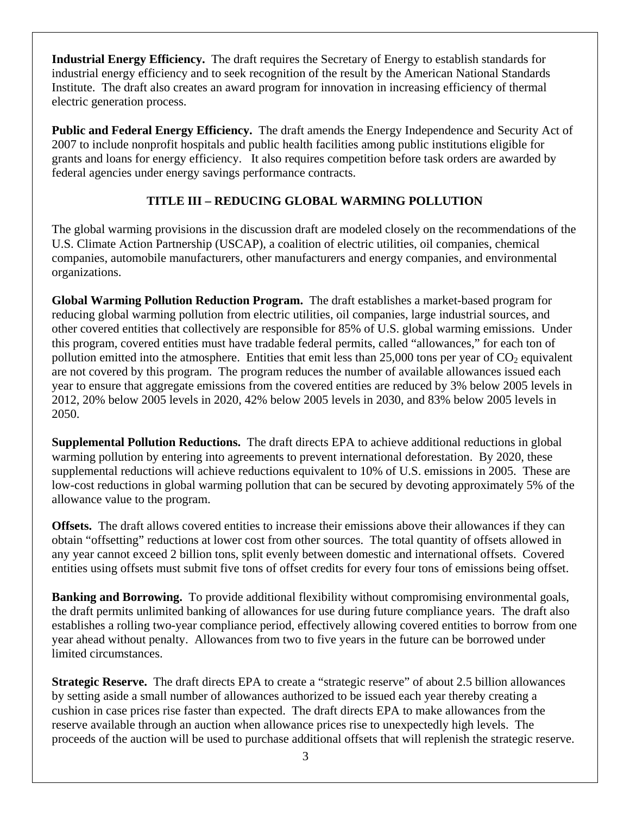**Industrial Energy Efficiency.** The draft requires the Secretary of Energy to establish standards for industrial energy efficiency and to seek recognition of the result by the American National Standards Institute. The draft also creates an award program for innovation in increasing efficiency of thermal electric generation process.

**Public and Federal Energy Efficiency.** The draft amends the Energy Independence and Security Act of 2007 to include nonprofit hospitals and public health facilities among public institutions eligible for grants and loans for energy efficiency. It also requires competition before task orders are awarded by federal agencies under energy savings performance contracts.

#### **TITLE III – REDUCING GLOBAL WARMING POLLUTION**

The global warming provisions in the discussion draft are modeled closely on the recommendations of the U.S. Climate Action Partnership (USCAP), a coalition of electric utilities, oil companies, chemical companies, automobile manufacturers, other manufacturers and energy companies, and environmental organizations.

**Global Warming Pollution Reduction Program.** The draft establishes a market-based program for reducing global warming pollution from electric utilities, oil companies, large industrial sources, and other covered entities that collectively are responsible for 85% of U.S. global warming emissions. Under this program, covered entities must have tradable federal permits, called "allowances," for each ton of pollution emitted into the atmosphere. Entities that emit less than  $25,000$  tons per year of  $CO<sub>2</sub>$  equivalent are not covered by this program. The program reduces the number of available allowances issued each year to ensure that aggregate emissions from the covered entities are reduced by 3% below 2005 levels in 2012, 20% below 2005 levels in 2020, 42% below 2005 levels in 2030, and 83% below 2005 levels in 2050.

**Supplemental Pollution Reductions.** The draft directs EPA to achieve additional reductions in global warming pollution by entering into agreements to prevent international deforestation. By 2020, these supplemental reductions will achieve reductions equivalent to 10% of U.S. emissions in 2005. These are low-cost reductions in global warming pollution that can be secured by devoting approximately 5% of the allowance value to the program.

**Offsets.** The draft allows covered entities to increase their emissions above their allowances if they can obtain "offsetting" reductions at lower cost from other sources. The total quantity of offsets allowed in any year cannot exceed 2 billion tons, split evenly between domestic and international offsets. Covered entities using offsets must submit five tons of offset credits for every four tons of emissions being offset.

**Banking and Borrowing.** To provide additional flexibility without compromising environmental goals, the draft permits unlimited banking of allowances for use during future compliance years. The draft also establishes a rolling two-year compliance period, effectively allowing covered entities to borrow from one year ahead without penalty. Allowances from two to five years in the future can be borrowed under limited circumstances.

**Strategic Reserve.** The draft directs EPA to create a "strategic reserve" of about 2.5 billion allowances by setting aside a small number of allowances authorized to be issued each year thereby creating a cushion in case prices rise faster than expected. The draft directs EPA to make allowances from the reserve available through an auction when allowance prices rise to unexpectedly high levels. The proceeds of the auction will be used to purchase additional offsets that will replenish the strategic reserve.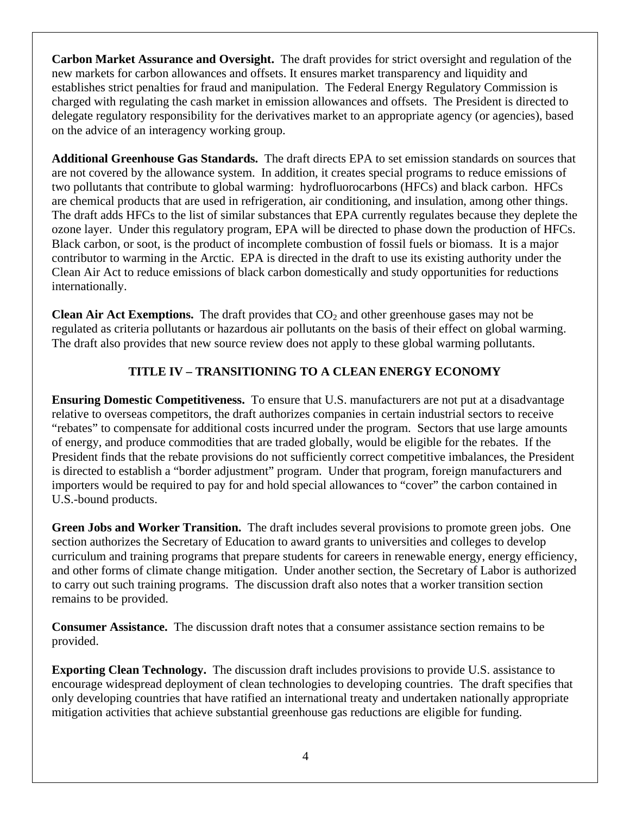**Carbon Market Assurance and Oversight.** The draft provides for strict oversight and regulation of the new markets for carbon allowances and offsets. It ensures market transparency and liquidity and establishes strict penalties for fraud and manipulation. The Federal Energy Regulatory Commission is charged with regulating the cash market in emission allowances and offsets. The President is directed to delegate regulatory responsibility for the derivatives market to an appropriate agency (or agencies), based on the advice of an interagency working group.

**Additional Greenhouse Gas Standards.** The draft directs EPA to set emission standards on sources that are not covered by the allowance system. In addition, it creates special programs to reduce emissions of two pollutants that contribute to global warming: hydrofluorocarbons (HFCs) and black carbon. HFCs are chemical products that are used in refrigeration, air conditioning, and insulation, among other things. The draft adds HFCs to the list of similar substances that EPA currently regulates because they deplete the ozone layer. Under this regulatory program, EPA will be directed to phase down the production of HFCs. Black carbon, or soot, is the product of incomplete combustion of fossil fuels or biomass. It is a major contributor to warming in the Arctic. EPA is directed in the draft to use its existing authority under the Clean Air Act to reduce emissions of black carbon domestically and study opportunities for reductions internationally.

**Clean Air Act Exemptions.** The draft provides that  $CO<sub>2</sub>$  and other greenhouse gases may not be regulated as criteria pollutants or hazardous air pollutants on the basis of their effect on global warming. The draft also provides that new source review does not apply to these global warming pollutants.

## **TITLE IV – TRANSITIONING TO A CLEAN ENERGY ECONOMY**

**Ensuring Domestic Competitiveness.** To ensure that U.S. manufacturers are not put at a disadvantage relative to overseas competitors, the draft authorizes companies in certain industrial sectors to receive "rebates" to compensate for additional costs incurred under the program. Sectors that use large amounts of energy, and produce commodities that are traded globally, would be eligible for the rebates. If the President finds that the rebate provisions do not sufficiently correct competitive imbalances, the President is directed to establish a "border adjustment" program. Under that program, foreign manufacturers and importers would be required to pay for and hold special allowances to "cover" the carbon contained in U.S.-bound products.

**Green Jobs and Worker Transition.** The draft includes several provisions to promote green jobs. One section authorizes the Secretary of Education to award grants to universities and colleges to develop curriculum and training programs that prepare students for careers in renewable energy, energy efficiency, and other forms of climate change mitigation. Under another section, the Secretary of Labor is authorized to carry out such training programs. The discussion draft also notes that a worker transition section remains to be provided.

**Consumer Assistance.** The discussion draft notes that a consumer assistance section remains to be provided.

**Exporting Clean Technology.** The discussion draft includes provisions to provide U.S. assistance to encourage widespread deployment of clean technologies to developing countries. The draft specifies that only developing countries that have ratified an international treaty and undertaken nationally appropriate mitigation activities that achieve substantial greenhouse gas reductions are eligible for funding.